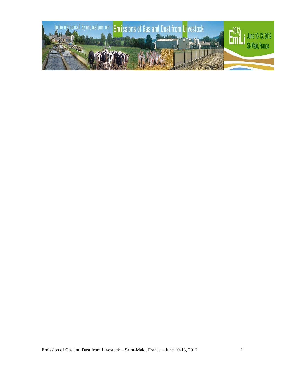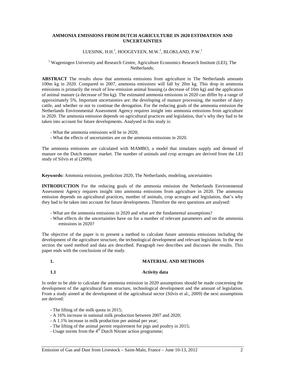# **AMMONIA EMISSIONS FROM DUTCH AGRICULTURE IN 2020 ESTIMATION AND UNCERTAINTIES**

# LUESINK, H.H. $^1$ , HOOGEVEEN, M.W. $^1$ , BLOKLAND, P.W. $^1$

# <sup>1</sup> Wageningen University and Research Centre, Agriculture Economics Research Institute (LEI), The Netherlands;

**ABSTRACT** The results show that ammonia emissions from agriculture in The Netherlands amounts 100m kg in 2020. Compared to 2007, ammonia emissions will fall by 20m kg. This drop in ammonia emissions is primarily the result of low-emission animal housing (a decrease of 10m kg) and the application of animal manure (a decrease of 9m kg). The estimated ammonia emissions in 2020 can differ by a range of approximately 5%. Important uncertainties are: the developing of manure processing, the number of dairy cattle, and whether or not to continue the derogation. For the reducing goals of the ammonia emission the Netherlands Environmental Assessment Agency requires insight into ammonia emissions from agriculture in 2020. The ammonia emission depends on agricultural practices and legislation, that's why they had to be taken into account for future developments. Analysed in this study is:

- What the ammonia emissions will be in 2020;
- What the effects of uncertainties are on the ammonia emissions in 2020.

The ammonia emissions are calculated with MAMBO, a model that simulates supply and demand of manure on the Dutch manure market. The number of animals and crop acreages are derived from the LEI study of Silvis et al (2009).

**Keywords:** Ammonia emission, prediction 2020, The Netherlands, modeling, uncertainties

**INTRODUCTION** For the reducing goals of the ammonia emission the Netherlands Environmental Assessment Agency requires insight into ammonia emissions from agriculture in 2020. The ammonia emission depends on agricultural practices, number of animals, crop acreages and legislation, that's why they had to be taken into account for future developments. Therefore the next questions are analysed:

- What are the ammonia emissions in 2020 and what are the fundamental assumptions?
- What effects do the uncertainties have on for a number of relevant parameters and on the ammonia emissions in 2020?

The objective of the paper is to present a method to calculate future ammonia emissions including the development of the agriculture structure, the technological development and relevant legislation. In the next section the used method and data are described. Paragraph two describes and discusses the results. This paper ends with the conclusions of the study.

# **1. MATERIAL AND METHODS**

# **1.1 Activity data**

In order to be able to calculate the ammonia emission in 2020 assumptions should be made concerning the development of the agricultural farm structure, technological development and the amount of legislation. From a study aimed at the development of the agricultural sector (Silvis et al., 2009) the next assumptions are derived:

- The lifting of the milk quota in 2015;
- A 16% increase in national milk production between 2007 and 2020;
- A 1.1% increase in milk production per animal per year;
- The lifting of the animal permit requirement for pigs and poultry in 2015;
- Usage norms from the  $4<sup>th</sup>$  Dutch Nitrate action programme;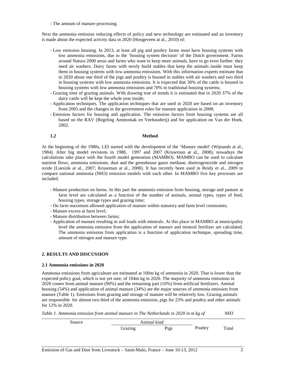- The amount of manure processing.

Next the ammonia emission reducing effects of policy and new technology are estimated and an inventory is made about the expected activity data in 2020 (Hoogeveen at al., 2010) of:

- Low emission housing. In 2013, at least all pig and poultry farms must have housing systems with low ammonia emissions, due to the 'housing system decision' of the Dutch government. Farms around Natura 2000 areas and farms who want to keep more animals, have to go even further: they need air washers. Dairy farms with newly build stables that keep the animals inside must keep them in housing systems with low ammonia emissions. With this information experts estimate that in 2020 about one third of the pigs and poultry is housed in stables with air washers and two third in housing systems with low ammonia emissions. It is expected that 30% of the cattle is housed in housing systems with low ammonia emissions and 70% in traditional housing systems;
- Grazing time of grazing animals. With drawing true of trends it is estimated that in 2020 37% of the dairy cattle will be kept the whole year inside;
- Application techniques. The application techniques that are used in 2020 are based on an inventory from 2005 and the changes in the government rules for manure application in 2008;
- Emission factors for housing and application. The emission factors from housing systems are all based on the RAV (Regeling Ammoniak en Veehouderij) and for application on Van der Hoek, 2002.

### **1.2 Method**

At the beginning of the 1980s, LEI started with the development of the 'Manure model' (Wijnands at al., 1984). After big model revisions in 1988, 1997 and 2007 (Kruseman at al., 2008), nowadays the calculations take place with the fourth model generation (MAMBO). MAMBO can be used to calculate nutrient flows, ammonia emissions, dust and the greenhouse gases methane, dinitrogenoxide and nitrogen oxide (Luesink at al., 2007; Kruseman at al., 2008). It has recently been used in Reidy et al., 2009 to compare national ammonia (NH3) emission models with each other. In MAMBO five key processes are included.

- Manure production on farms. In this part the ammonia emission from housing, storage and pasture at farm level are calculated as a function of the number of animals, animal types, types of feed, housing types, storage types and grazing time;
- On farm maximum allowed application of manure within statutory and farm level constraints;
- Manure excess at farm level;
- Manure distribution between farms;
- Application of manure resulting in soil loads with minerals. At this place in MAMBO at municipality level the ammonia emission from the application of manure and mineral fertilizer are calculated. The ammonia emission from application is a function of application technique, spreading time, amount of nitrogen and manure type.

# **2. RESULTS AND DISCUSSION**

# **2.1 Ammonia emissions in 2020**

Ammonia emissions from agriculture are estimated at 100m kg of ammonia in 2020. That is lower than the expected policy goal, which is not yet sure, of 104m kg in 2020. The majority of ammonia emissions in 2020 comes from animal manure (90%) and the remaining part (10%) from artificial fertilizers. Animal housing (54%) and application of animal manure (34%) are the major sources of ammonia emission from manure (Table 1). Emissions from grazing and storage of manure will be relatively low. Grazing animals are responsible for almost two third of the ammonia emission, pigs for 23% and poultry and other animals for 12% in 2020.

*Table 1. Ammonia emission from animal manure in The Netherlands in 2020 in m kg of NH3*

| Source | Animal kind |      |         |       |
|--------|-------------|------|---------|-------|
|        | Grazing     | Pigs | Poultry | Total |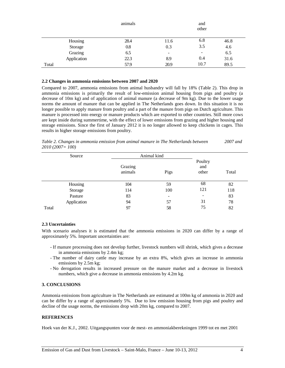|       |             | animals |                          | and<br>other |      |
|-------|-------------|---------|--------------------------|--------------|------|
|       | Housing     | 28.4    | 11.6                     | 6.8          | 46.8 |
|       | Storage     | 0.8     | 0.3                      | 3.5          | 4.6  |
|       | Grazing     | 6.5     | $\overline{\phantom{a}}$ |              | 6.5  |
|       | Application | 22.3    | 8.9                      | 0.4          | 31.6 |
| Total |             | 57.9    | 20.9                     | 10.7         | 89.5 |

## **2.2 Changes in ammonia emissions between 2007 and 2020**

Compared to 2007, ammonia emissions from animal husbandry will fall by 18% (Table 2). This drop in ammonia emissions is primarily the result of low-emission animal housing from pigs and poultry (a decrease of 10m kg) and of application of animal manure (a decrease of 9m kg). Due to the lower usage norms the amount of manure that can be applied in The Netherlands goes down. In this situation it is no longer possible to apply manure from poultry and a part of the manure from pigs on Dutch agriculture. This manure is processed into energy or manure products which are exported to other countries. Still more cows are kept inside during summertime, with the effect of lower emissions from grazing and higher housing and storage emissions. Since the first of January 2012 it is no longer allowed to keep chickens in cages. This results in higher storage emissions from poultry.

*Table 2. Changes in ammonia emission from animal manure in The Netherlands between 2007 and 2010 (2007= 100)*

| Source      | Animal kind        |      |                          |       |  |
|-------------|--------------------|------|--------------------------|-------|--|
|             | Grazing<br>animals | Pigs | Poultry<br>and<br>other  | Total |  |
| Housing     | 104                | 59   | 68                       | 82    |  |
| Storage     | 114                | 100  | 121                      | 118   |  |
| Pasture     | 83                 | -    | $\overline{\phantom{0}}$ | 83    |  |
| Application | 94                 | 57   | 31                       | 78    |  |
| Total       | 97                 | 58   | 75                       | 82    |  |

# **2.3 Uncertainties**

With scenario analyses it is estimated that the ammonia emissions in 2020 can differ by a range of approximately 5%. Important uncertainties are:

- If manure processing does not develop further, livestock numbers will shrink, which gives a decrease in ammonia emissions by 2.4m kg;
- The number of dairy cattle may increase by an extra 8%, which gives an increase in ammonia emissions by 2.5m kg;
- No derogation results in increased pressure on the manure market and a decrease in livestock numbers, which give a decrease in ammonia emissions by 4.2m kg.

# **3. CONCLUSIONS**

Ammonia emissions from agriculture in The Netherlands are estimated at 100m kg of ammonia in 2020 and can be differ by a range of approximately 5%. Due to low emission housing from pigs and poultry and decline of the usage norms, the emissions drop with 20m kg, compared to 2007.

# **REFERENCES**

Hoek van der K.J., 2002. Uitgangspunten voor de mest- en ammoniakberekningen 1999 tot en met 2001